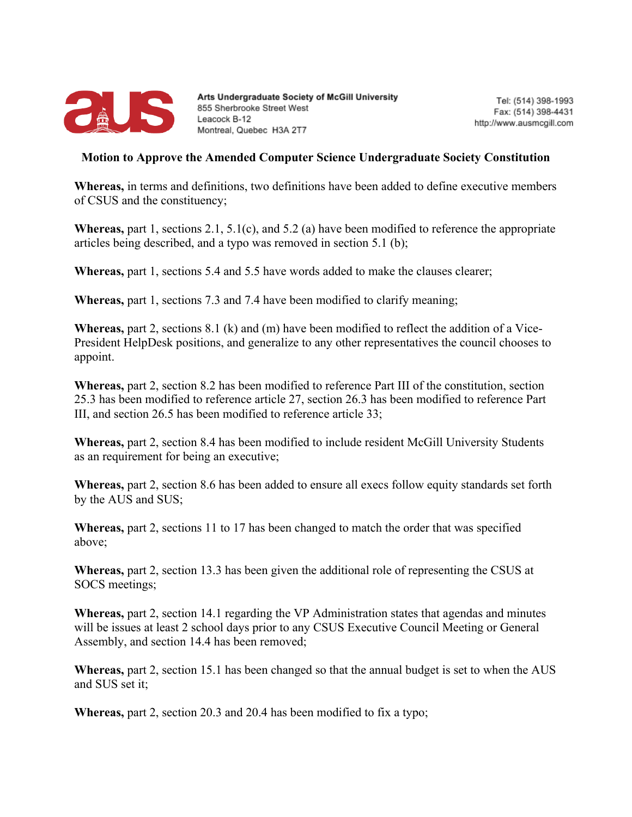

## **Motion to Approve the Amended Computer Science Undergraduate Society Constitution**

**Whereas,** in terms and definitions, two definitions have been added to define executive members of CSUS and the constituency;

**Whereas,** part 1, sections 2.1, 5.1(c), and 5.2 (a) have been modified to reference the appropriate articles being described, and a typo was removed in section 5.1 (b);

**Whereas,** part 1, sections 5.4 and 5.5 have words added to make the clauses clearer;

**Whereas,** part 1, sections 7.3 and 7.4 have been modified to clarify meaning;

**Whereas,** part 2, sections 8.1 (k) and (m) have been modified to reflect the addition of a Vice-President HelpDesk positions, and generalize to any other representatives the council chooses to appoint.

**Whereas,** part 2, section 8.2 has been modified to reference Part III of the constitution, section 25.3 has been modified to reference article 27, section 26.3 has been modified to reference Part III, and section 26.5 has been modified to reference article 33;

**Whereas,** part 2, section 8.4 has been modified to include resident McGill University Students as an requirement for being an executive;

**Whereas,** part 2, section 8.6 has been added to ensure all execs follow equity standards set forth by the AUS and SUS;

**Whereas,** part 2, sections 11 to 17 has been changed to match the order that was specified above;

**Whereas,** part 2, section 13.3 has been given the additional role of representing the CSUS at SOCS meetings;

**Whereas,** part 2, section 14.1 regarding the VP Administration states that agendas and minutes will be issues at least 2 school days prior to any CSUS Executive Council Meeting or General Assembly, and section 14.4 has been removed;

**Whereas,** part 2, section 15.1 has been changed so that the annual budget is set to when the AUS and SUS set it;

**Whereas,** part 2, section 20.3 and 20.4 has been modified to fix a typo;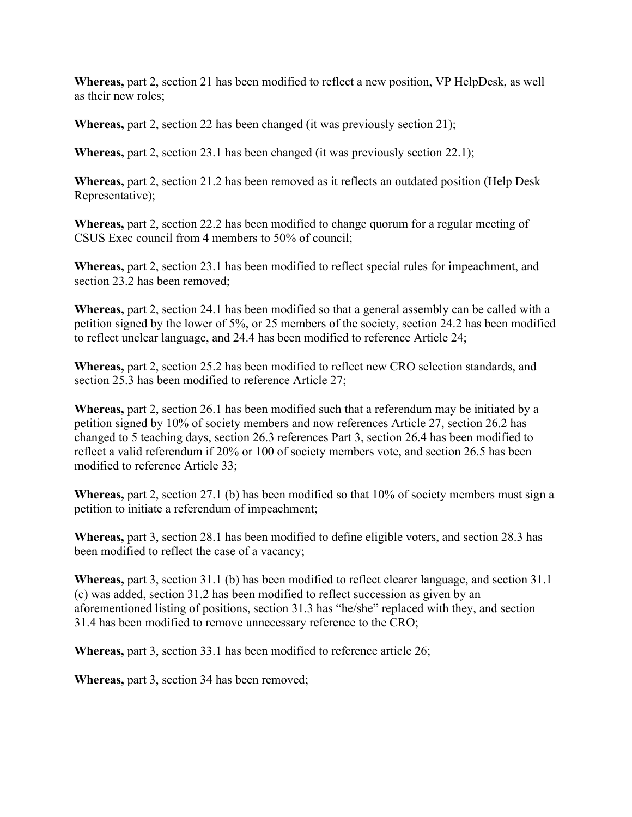**Whereas,** part 2, section 21 has been modified to reflect a new position, VP HelpDesk, as well as their new roles;

**Whereas,** part 2, section 22 has been changed (it was previously section 21);

**Whereas,** part 2, section 23.1 has been changed (it was previously section 22.1);

**Whereas,** part 2, section 21.2 has been removed as it reflects an outdated position (Help Desk Representative);

**Whereas,** part 2, section 22.2 has been modified to change quorum for a regular meeting of CSUS Exec council from 4 members to 50% of council;

**Whereas,** part 2, section 23.1 has been modified to reflect special rules for impeachment, and section 23.2 has been removed;

**Whereas,** part 2, section 24.1 has been modified so that a general assembly can be called with a petition signed by the lower of 5%, or 25 members of the society, section 24.2 has been modified to reflect unclear language, and 24.4 has been modified to reference Article 24;

**Whereas,** part 2, section 25.2 has been modified to reflect new CRO selection standards, and section 25.3 has been modified to reference Article 27;

**Whereas,** part 2, section 26.1 has been modified such that a referendum may be initiated by a petition signed by 10% of society members and now references Article 27, section 26.2 has changed to 5 teaching days, section 26.3 references Part 3, section 26.4 has been modified to reflect a valid referendum if 20% or 100 of society members vote, and section 26.5 has been modified to reference Article 33;

**Whereas,** part 2, section 27.1 (b) has been modified so that 10% of society members must sign a petition to initiate a referendum of impeachment;

**Whereas,** part 3, section 28.1 has been modified to define eligible voters, and section 28.3 has been modified to reflect the case of a vacancy;

**Whereas,** part 3, section 31.1 (b) has been modified to reflect clearer language, and section 31.1 (c) was added, section 31.2 has been modified to reflect succession as given by an aforementioned listing of positions, section 31.3 has "he/she" replaced with they, and section 31.4 has been modified to remove unnecessary reference to the CRO;

**Whereas,** part 3, section 33.1 has been modified to reference article 26;

**Whereas,** part 3, section 34 has been removed;